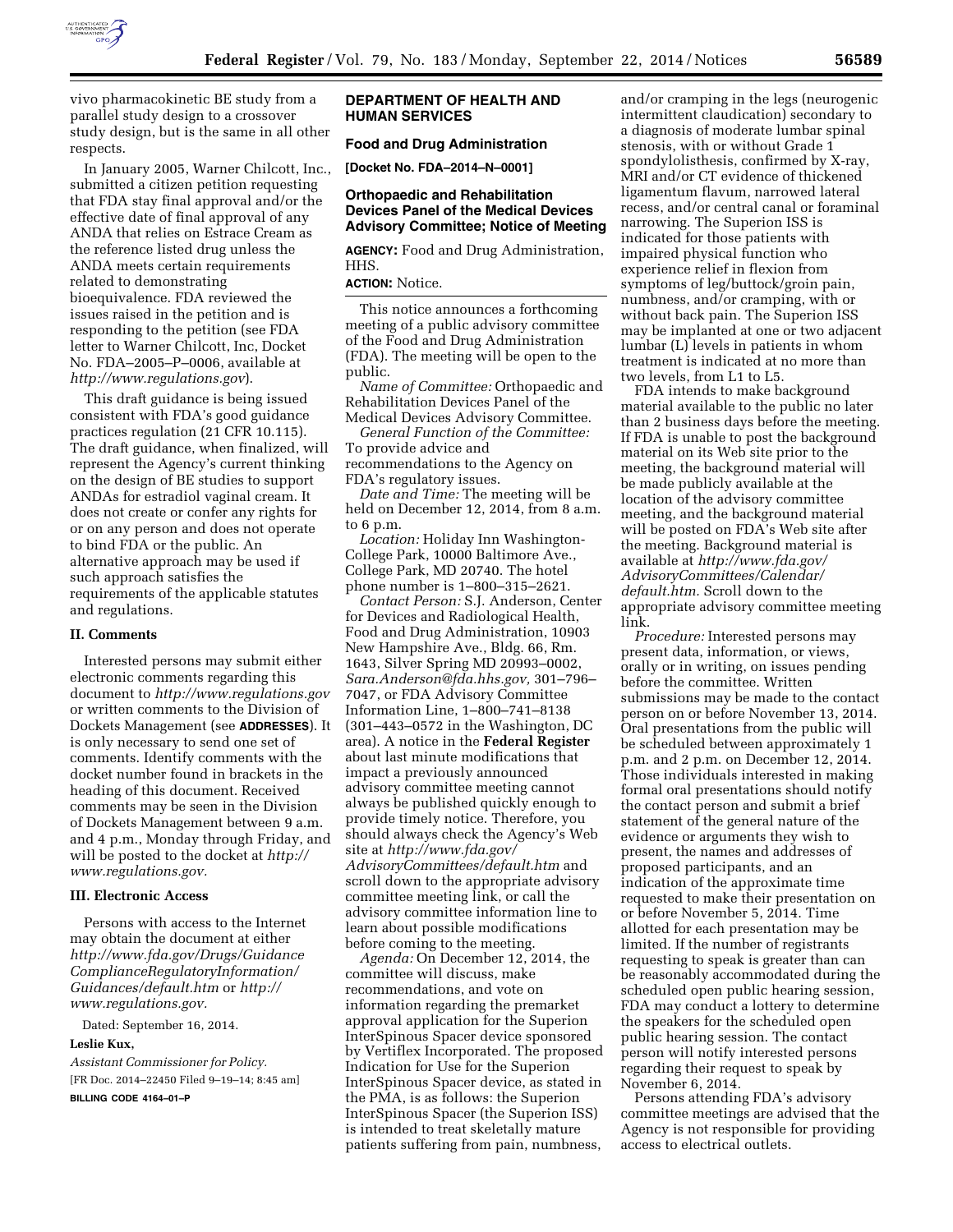

vivo pharmacokinetic BE study from a parallel study design to a crossover study design, but is the same in all other respects.

In January 2005, Warner Chilcott, Inc., submitted a citizen petition requesting that FDA stay final approval and/or the effective date of final approval of any ANDA that relies on Estrace Cream as the reference listed drug unless the ANDA meets certain requirements related to demonstrating bioequivalence. FDA reviewed the issues raised in the petition and is responding to the petition (see FDA letter to Warner Chilcott, Inc, Docket No. FDA–2005–P–0006, available at *<http://www.regulations.gov>*).

This draft guidance is being issued consistent with FDA's good guidance practices regulation (21 CFR 10.115). The draft guidance, when finalized, will represent the Agency's current thinking on the design of BE studies to support ANDAs for estradiol vaginal cream. It does not create or confer any rights for or on any person and does not operate to bind FDA or the public. An alternative approach may be used if such approach satisfies the requirements of the applicable statutes and regulations.

#### **II. Comments**

Interested persons may submit either electronic comments regarding this document to *<http://www.regulations.gov>* or written comments to the Division of Dockets Management (see **ADDRESSES**). It is only necessary to send one set of comments. Identify comments with the docket number found in brackets in the heading of this document. Received comments may be seen in the Division of Dockets Management between 9 a.m. and 4 p.m., Monday through Friday, and will be posted to the docket at *[http://](http://www.regulations.gov) [www.regulations.gov.](http://www.regulations.gov)* 

#### **III. Electronic Access**

Persons with access to the Internet may obtain the document at either *[http://www.fda.gov/Drugs/Guidance](http://www.fda.gov/Drugs/GuidanceComplianceRegulatoryInformation/Guidances/default.htm) [ComplianceRegulatoryInformation/](http://www.fda.gov/Drugs/GuidanceComplianceRegulatoryInformation/Guidances/default.htm) [Guidances/default.htm](http://www.fda.gov/Drugs/GuidanceComplianceRegulatoryInformation/Guidances/default.htm)* or *[http://](http://www.regulations.gov) [www.regulations.gov.](http://www.regulations.gov)* 

Dated: September 16, 2014.

#### **Leslie Kux,**

*Assistant Commissioner for Policy.*  [FR Doc. 2014–22450 Filed 9–19–14; 8:45 am]

**BILLING CODE 4164–01–P** 

#### **DEPARTMENT OF HEALTH AND HUMAN SERVICES**

# **Food and Drug Administration**

**[Docket No. FDA–2014–N–0001]** 

#### **Orthopaedic and Rehabilitation Devices Panel of the Medical Devices Advisory Committee; Notice of Meeting**

**AGENCY:** Food and Drug Administration, HHS.

## **ACTION:** Notice.

This notice announces a forthcoming meeting of a public advisory committee of the Food and Drug Administration (FDA). The meeting will be open to the public.

*Name of Committee:* Orthopaedic and Rehabilitation Devices Panel of the Medical Devices Advisory Committee.

*General Function of the Committee:*  To provide advice and recommendations to the Agency on FDA's regulatory issues.

*Date and Time:* The meeting will be held on December 12, 2014, from 8 a.m. to 6 p.m.

*Location:* Holiday Inn Washington-College Park, 10000 Baltimore Ave., College Park, MD 20740. The hotel phone number is 1–800–315–2621.

*Contact Person:* S.J. Anderson, Center for Devices and Radiological Health, Food and Drug Administration, 10903 New Hampshire Ave., Bldg. 66, Rm. 1643, Silver Spring MD 20993–0002, *[Sara.Anderson@fda.hhs.gov,](mailto:Sara.Anderson@fda.hhs.gov)* 301–796– 7047, or FDA Advisory Committee Information Line, 1–800–741–8138 (301–443–0572 in the Washington, DC area). A notice in the **Federal Register**  about last minute modifications that impact a previously announced advisory committee meeting cannot always be published quickly enough to provide timely notice. Therefore, you should always check the Agency's Web site at *[http://www.fda.gov/](http://www.fda.gov/AdvisoryCommittees/default.htm) [AdvisoryCommittees/default.htm](http://www.fda.gov/AdvisoryCommittees/default.htm)* and scroll down to the appropriate advisory committee meeting link, or call the advisory committee information line to learn about possible modifications before coming to the meeting.

*Agenda:* On December 12, 2014, the committee will discuss, make recommendations, and vote on information regarding the premarket approval application for the Superion InterSpinous Spacer device sponsored by Vertiflex Incorporated. The proposed Indication for Use for the Superion InterSpinous Spacer device, as stated in the PMA, is as follows: the Superion InterSpinous Spacer (the Superion ISS) is intended to treat skeletally mature patients suffering from pain, numbness,

and/or cramping in the legs (neurogenic intermittent claudication) secondary to a diagnosis of moderate lumbar spinal stenosis, with or without Grade 1 spondylolisthesis, confirmed by X-ray, MRI and/or CT evidence of thickened ligamentum flavum, narrowed lateral recess, and/or central canal or foraminal narrowing. The Superion ISS is indicated for those patients with impaired physical function who experience relief in flexion from symptoms of leg/buttock/groin pain, numbness, and/or cramping, with or without back pain. The Superion ISS may be implanted at one or two adjacent lumbar (L) levels in patients in whom treatment is indicated at no more than two levels, from L1 to L5.

FDA intends to make background material available to the public no later than 2 business days before the meeting. If FDA is unable to post the background material on its Web site prior to the meeting, the background material will be made publicly available at the location of the advisory committee meeting, and the background material will be posted on FDA's Web site after the meeting. Background material is available at *[http://www.fda.gov/](http://www.fda.gov/AdvisoryCommittees/Calendar/default.htm)  [AdvisoryCommittees/Calendar/](http://www.fda.gov/AdvisoryCommittees/Calendar/default.htm)  [default.htm.](http://www.fda.gov/AdvisoryCommittees/Calendar/default.htm)* Scroll down to the appropriate advisory committee meeting link.

*Procedure:* Interested persons may present data, information, or views, orally or in writing, on issues pending before the committee. Written submissions may be made to the contact person on or before November 13, 2014. Oral presentations from the public will be scheduled between approximately 1 p.m. and 2 p.m. on December 12, 2014. Those individuals interested in making formal oral presentations should notify the contact person and submit a brief statement of the general nature of the evidence or arguments they wish to present, the names and addresses of proposed participants, and an indication of the approximate time requested to make their presentation on or before November 5, 2014. Time allotted for each presentation may be limited. If the number of registrants requesting to speak is greater than can be reasonably accommodated during the scheduled open public hearing session, FDA may conduct a lottery to determine the speakers for the scheduled open public hearing session. The contact person will notify interested persons regarding their request to speak by November 6, 2014.

Persons attending FDA's advisory committee meetings are advised that the Agency is not responsible for providing access to electrical outlets.